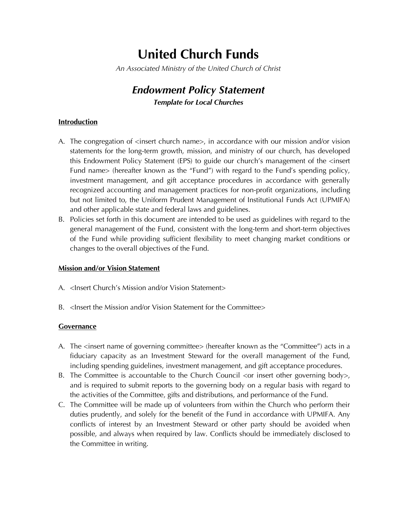# **United Church Funds**

*An Associated Ministry of the United Church of Christ*

# *Endowment Policy Statement Template for Local Churches*

# **Introduction**

- A. The congregation of  $\leq$ insert church name $\geq$ , in accordance with our mission and/or vision statements for the long-term growth, mission, and ministry of our church, has developed this Endowment Policy Statement (EPS) to guide our church's management of the <insert Fund name> (hereafter known as the "Fund") with regard to the Fund's spending policy, investment management, and gift acceptance procedures in accordance with generally recognized accounting and management practices for non-profit organizations, including but not limited to, the Uniform Prudent Management of Institutional Funds Act (UPMIFA) and other applicable state and federal laws and guidelines.
- B. Policies set forth in this document are intended to be used as guidelines with regard to the general management of the Fund, consistent with the long-term and short-term objectives of the Fund while providing sufficient flexibility to meet changing market conditions or changes to the overall objectives of the Fund.

#### **Mission and/or Vision Statement**

- A. <Insert Church's Mission and/or Vision Statement>
- B. <Insert the Mission and/or Vision Statement for the Committee>

#### **Governance**

- A. The <insert name of governing committee> (hereafter known as the "Committee") acts in a fiduciary capacity as an Investment Steward for the overall management of the Fund, including spending guidelines, investment management, and gift acceptance procedures.
- B. The Committee is accountable to the Church Council  $\langle$  or insert other governing body $>$ , and is required to submit reports to the governing body on a regular basis with regard to the activities of the Committee, gifts and distributions, and performance of the Fund.
- C. The Committee will be made up of volunteers from within the Church who perform their duties prudently, and solely for the benefit of the Fund in accordance with UPMIFA. Any conflicts of interest by an Investment Steward or other party should be avoided when possible, and always when required by law. Conflicts should be immediately disclosed to the Committee in writing.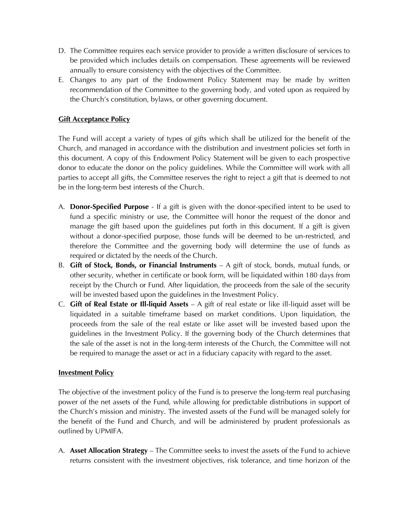- D. The Committee requires each service provider to provide a written disclosure of services to be provided which includes details on compensation. These agreements will be reviewed annually to ensure consistency with the objectives of the Committee.
- E. Changes to any part of the Endowment Policy Statement may be made by written recommendation of the Committee to the governing body, and voted upon as required by the Church's constitution, bylaws, or other governing document.

# **Gift Acceptance Policy**

The Fund will accept a variety of types of gifts which shall be utilized for the benefit of the Church, and managed in accordance with the distribution and investment policies set forth in this document. A copy of this Endowment Policy Statement will be given to each prospective donor to educate the donor on the policy guidelines. While the Committee will work with all parties to accept all gifts, the Committee reserves the right to reject a gift that is deemed to not be in the long-term best interests of the Church.

- A. **Donor-Specified Purpose** If a gift is given with the donor-specified intent to be used to fund a specific ministry or use, the Committee will honor the request of the donor and manage the gift based upon the guidelines put forth in this document. If a gift is given without a donor-specified purpose, those funds will be deemed to be un-restricted, and therefore the Committee and the governing body will determine the use of funds as required or dictated by the needs of the Church.
- B. **Gift of Stock, Bonds, or Financial Instruments** A gift of stock, bonds, mutual funds, or other security, whether in certificate or book form, will be liquidated within 180 days from receipt by the Church or Fund. After liquidation, the proceeds from the sale of the security will be invested based upon the guidelines in the Investment Policy.
- C. **Gift of Real Estate or Ill-liquid Assets**  A gift of real estate or like ill-liquid asset will be liquidated in a suitable timeframe based on market conditions. Upon liquidation, the proceeds from the sale of the real estate or like asset will be invested based upon the guidelines in the Investment Policy. If the governing body of the Church determines that the sale of the asset is not in the long-term interests of the Church, the Committee will not be required to manage the asset or act in a fiduciary capacity with regard to the asset.

## **Investment Policy**

The objective of the investment policy of the Fund is to preserve the long-term real purchasing power of the net assets of the Fund, while allowing for predictable distributions in support of the Church's mission and ministry. The invested assets of the Fund will be managed solely for the benefit of the Fund and Church, and will be administered by prudent professionals as outlined by UPMIFA.

A. **Asset Allocation Strategy** – The Committee seeks to invest the assets of the Fund to achieve returns consistent with the investment objectives, risk tolerance, and time horizon of the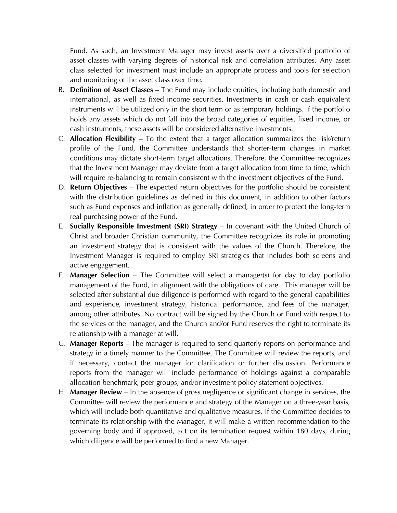Fund. As such, an Investment Manager may invest assets over a diversified portfolio of asset classes with varying degrees of historical risk and correlation attributes. Any asset class selected for investment must include an appropriate process and tools for selection and monitoring of the asset class over time.

- B. **Definition of Asset Classes** The Fund may include equities, including both domestic and international, as well as fixed income securities. Investments in cash or cash equivalent instruments will be utilized only in the short term or as temporary holdings. If the portfolio holds any assets which do not fall into the broad categories of equities, fixed income, or cash instruments, these assets will be considered alternative investments.
- C. **Allocation Flexibility** To the extent that a target allocation summarizes the risk/return profile of the Fund, the Committee understands that shorter-term changes in market conditions may dictate short-term target allocations. Therefore, the Committee recognizes that the Investment Manager may deviate from a target allocation from time to time, which will require re-balancing to remain consistent with the investment objectives of the Fund.
- D. **Return Objectives**  The expected return objectives for the portfolio should be consistent with the distribution guidelines as defined in this document, in addition to other factors such as Fund expenses and inflation as generally defined, in order to protect the long-term real purchasing power of the Fund.
- E. **Socially Responsible Investment (SRI) Strategy** In covenant with the United Church of Christ and broader Christian community, the Committee recognizes its role in promoting an investment strategy that is consistent with the values of the Church. Therefore, the Investment Manager is required to employ SRI strategies that includes both screens and active engagement.
- F. **Manager Selection** The Committee will select a manager(s) for day to day portfolio management of the Fund, in alignment with the obligations of care. This manager will be selected after substantial due diligence is performed with regard to the general capabilities and experience, investment strategy, historical performance, and fees of the manager, among other attributes. No contract will be signed by the Church or Fund with respect to the services of the manager, and the Church and/or Fund reserves the right to terminate its relationship with a manager at will.
- G. **Manager Reports** The manager is required to send quarterly reports on performance and strategy in a timely manner to the Committee. The Committee will review the reports, and if necessary, contact the manager for clarification or further discussion. Performance reports from the manager will include performance of holdings against a comparable allocation benchmark, peer groups, and/or investment policy statement objectives.
- H. **Manager Review** In the absence of gross negligence or significant change in services, the Committee will review the performance and strategy of the Manager on a three-year basis, which will include both quantitative and qualitative measures. If the Committee decides to terminate its relationship with the Manager, it will make a written recommendation to the governing body and if approved, act on its termination request within 180 days, during which diligence will be performed to find a new Manager.